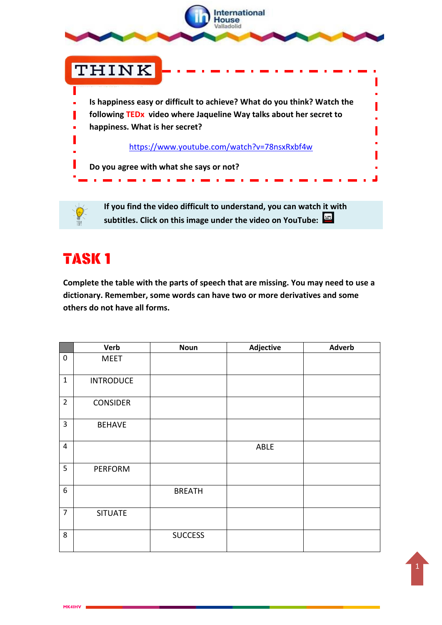

**If you find the video difficult to understand, you can watch it with subtitles. Click on this image under the video on YouTube:**

## **TASK1**

**MK4IHV**

**Complete the table with the parts of speech that are missing. You may need to use a dictionary. Remember, some words can have two or more derivatives and some others do not have all forms.**

|                  | <b>Verb</b>      | <b>Noun</b>    | Adjective | <b>Adverb</b> |
|------------------|------------------|----------------|-----------|---------------|
| $\mathbf 0$      | <b>MEET</b>      |                |           |               |
| $\mathbf{1}$     | <b>INTRODUCE</b> |                |           |               |
| $\overline{2}$   | <b>CONSIDER</b>  |                |           |               |
| 3                | <b>BEHAVE</b>    |                |           |               |
| $\overline{4}$   |                  |                | ABLE      |               |
| 5                | <b>PERFORM</b>   |                |           |               |
| $\boldsymbol{6}$ |                  | <b>BREATH</b>  |           |               |
| $\overline{7}$   | <b>SITUATE</b>   |                |           |               |
| 8                |                  | <b>SUCCESS</b> |           |               |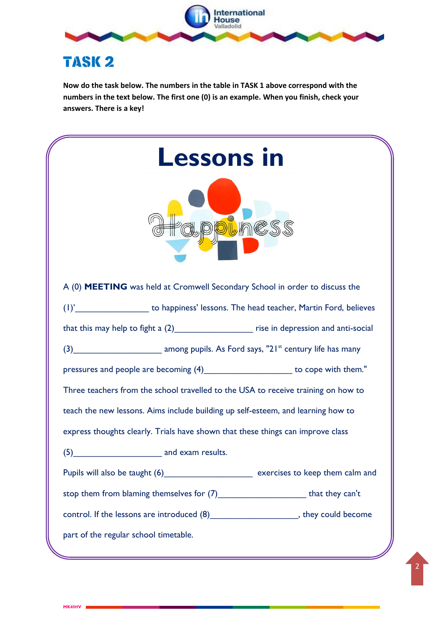

## **TASK 2**

**MK4IHV**

**Now do the task below. The numbers in the table in TASK 1 above correspond with the numbers in the text below. The first one (0) is an example. When you finish, check your answers. There is a key!**

| <b>Lessons in</b>                                                                            |  |  |  |  |  |  |  |
|----------------------------------------------------------------------------------------------|--|--|--|--|--|--|--|
| A (0) MEETING was held at Cromwell Secondary School in order to discuss the                  |  |  |  |  |  |  |  |
| (1)'_________________________ to happiness' lessons. The head teacher, Martin Ford, believes |  |  |  |  |  |  |  |
| that this may help to fight a (2)_______________________ rise in depression and anti-social  |  |  |  |  |  |  |  |
|                                                                                              |  |  |  |  |  |  |  |
| pressures and people are becoming (4)________________________ to cope with them."            |  |  |  |  |  |  |  |
| Three teachers from the school travelled to the USA to receive training on how to            |  |  |  |  |  |  |  |
| teach the new lessons. Aims include building up self-esteem, and learning how to             |  |  |  |  |  |  |  |
| express thoughts clearly. Trials have shown that these things can improve class              |  |  |  |  |  |  |  |
| and exam results.<br>(5)                                                                     |  |  |  |  |  |  |  |
| Pupils will also be taught (6) __________________________ exercises to keep them calm and    |  |  |  |  |  |  |  |
| stop them from blaming themselves for (7)__________________________that they can't           |  |  |  |  |  |  |  |
| control. If the lessons are introduced (8)_______________________, they could become         |  |  |  |  |  |  |  |
| part of the regular school timetable.                                                        |  |  |  |  |  |  |  |